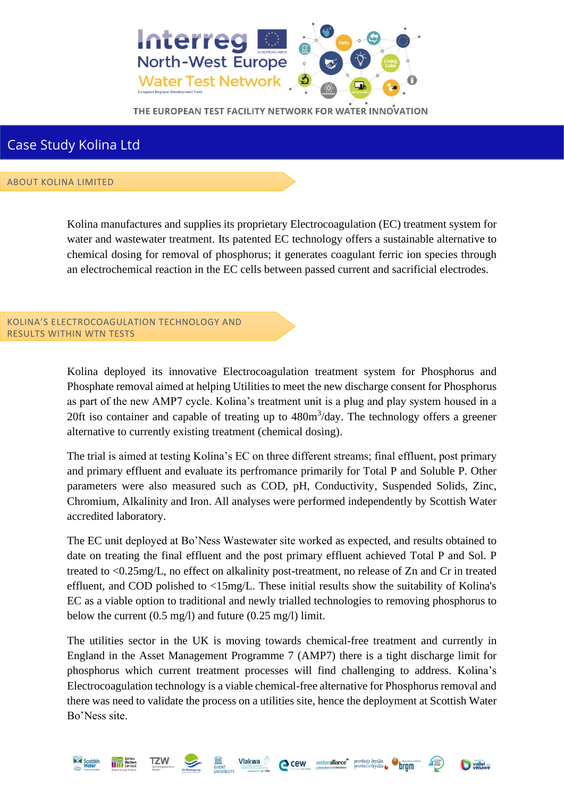

## Case Study Kolina Ltd

## ABOUT KOLINA LIMITED

Kolina manufactures and supplies its proprietary Electrocoagulation (EC) treatment system for water and wastewater treatment. Its patented EC technology offers a sustainable alternative to chemical dosing for removal of phosphorus; it generates coagulant ferric ion species through an electrochemical reaction in the EC cells between passed current and sacrificial electrodes.

KOLINA'S ELECTROCOAGULATION TECHNOLOGY AND RESULTS WITHIN WTN TESTS

> Kolina deployed its innovative Electrocoagulation treatment system for Phosphorus and Phosphate removal aimed at helping Utilities to meet the new discharge consent for Phosphorus as part of the new AMP7 cycle. Kolina's treatment unit is a plug and play system housed in a 20ft iso container and capable of treating up to  $480m<sup>3</sup>/day$ . The technology offers a greener alternative to currently existing treatment (chemical dosing).

> The trial is aimed at testing Kolina's EC on three different streams; final effluent, post primary and primary effluent and evaluate its perfromance primarily for Total P and Soluble P. Other parameters were also measured such as COD, pH, Conductivity, Suspended Solids, Zinc, Chromium, Alkalinity and Iron. All analyses were performed independently by Scottish Water accredited laboratory.

> The EC unit deployed at Bo'Ness Wastewater site worked as expected, and results obtained to date on treating the final effluent and the post primary effluent achieved Total P and Sol. P treated to <0.25mg/L, no effect on alkalinity post-treatment, no release of Zn and Cr in treated effluent, and COD polished to <15mg/L. These initial results show the suitability of Kolina's EC as a viable option to traditional and newly trialled technologies to removing phosphorus to below the current (0.5 mg/l) and future (0.25 mg/l) limit.

> The utilities sector in the UK is moving towards chemical-free treatment and currently in England in the Asset Management Programme 7 (AMP7) there is a tight discharge limit for phosphorus which current treatment processes will find challenging to address. Kolina's Electrocoagulation technology is a viable chemical-free alternative for Phosphorus removal and there was need to validate the process on a utilities site, hence the deployment at Scottish Water Bo'Ness site.

> > Cew wateralliance provinsie fryslân

vallei en

Vlakwa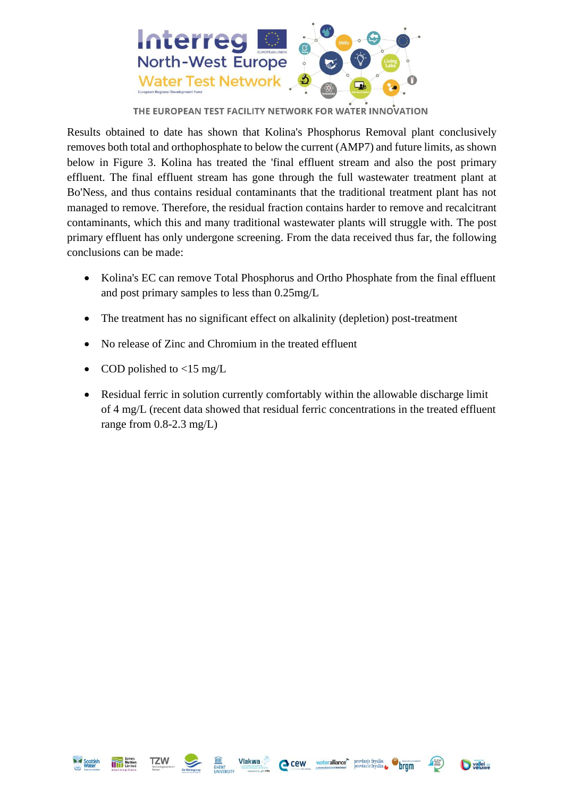

Results obtained to date has shown that Kolina's Phosphorus Removal plant conclusively removes both total and orthophosphate to below the current (AMP7) and future limits, as shown below in Figure 3. Kolina has treated the 'final effluent stream and also the post primary effluent. The final effluent stream has gone through the full wastewater treatment plant at Bo'Ness, and thus contains residual contaminants that the traditional treatment plant has not managed to remove. Therefore, the residual fraction contains harder to remove and recalcitrant contaminants, which this and many traditional wastewater plants will struggle with. The post primary effluent has only undergone screening. From the data received thus far, the following conclusions can be made:

- Kolina's EC can remove Total Phosphorus and Ortho Phosphate from the final effluent and post primary samples to less than 0.25mg/L
- The treatment has no significant effect on alkalinity (depletion) post-treatment
- No release of Zinc and Chromium in the treated effluent
- COD polished to  $\langle 15 \text{ mg/L} \rangle$
- Residual ferric in solution currently comfortably within the allowable discharge limit of 4 mg/L (recent data showed that residual ferric concentrations in the treated effluent range from  $0.8$ -2.3 mg/L)









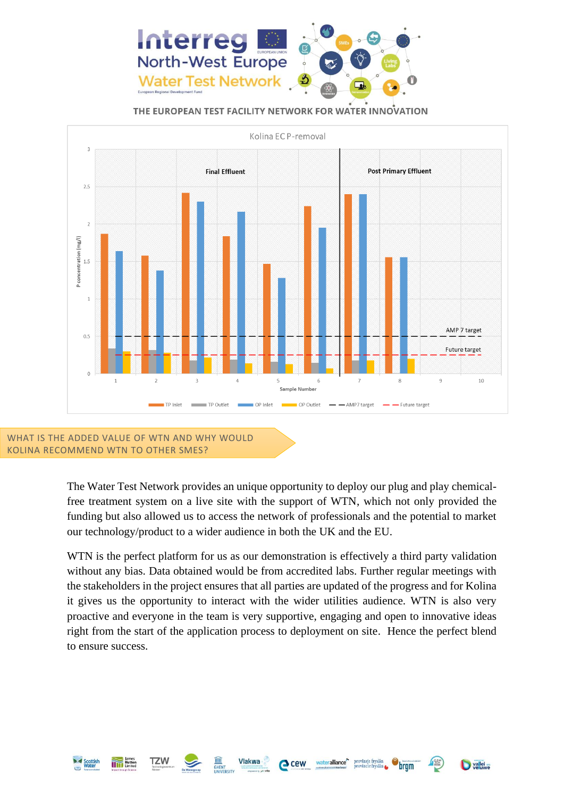



KOLINA RECOMMEND WTN TO OTHER SMES?

**TZW** 

The Water Test Network provides an unique opportunity to deploy our plug and play chemicalfree treatment system on a live site with the support of WTN, which not only provided the funding but also allowed us to access the network of professionals and the potential to market our technology/product to a wider audience in both the UK and the EU.

WTN is the perfect platform for us as our demonstration is effectively a third party validation without any bias. Data obtained would be from accredited labs. Further regular meetings with the stakeholders in the project ensures that all parties are updated of the progress and for Kolina it gives us the opportunity to interact with the wider utilities audience. WTN is also very proactive and everyone in the team is very supportive, engaging and open to innovative ideas right from the start of the application process to deployment on site. Hence the perfect blend to ensure success.

Cew wateralliance<sup>\*\*</sup> provincie fryslân

vallei en

bram

Vlakwa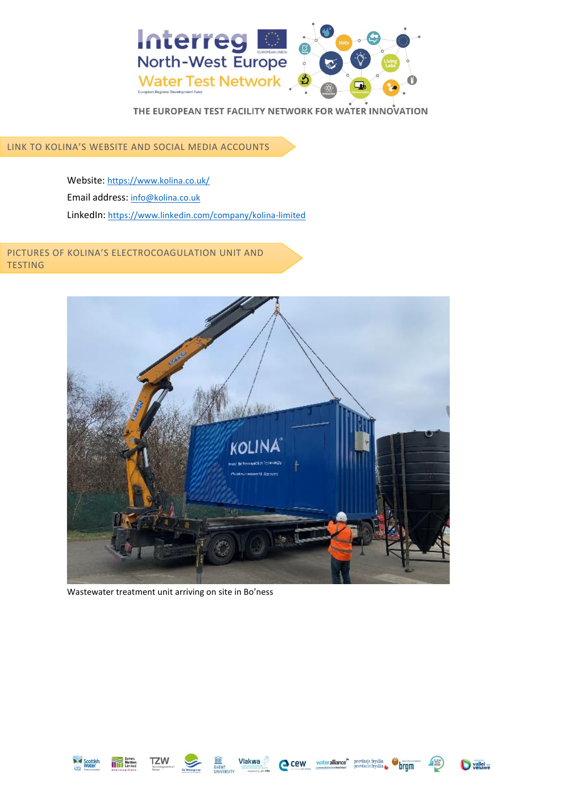

LINK TO KOLINA'S WEBSITE AND SOCIAL MEDIA ACCOUNTS

Website: https://www.kolina.co.uk/ Email address: [info@kolina.co.uk](mailto:info@kolina.co.uk) LinkedIn: <https://www.linkedin.com/company/kolina-limited>

PICTURES OF KOLINA'S ELECTROCOAGULATION UNIT AND TESTING



Wastewater treatment unit arriving on site in Bo'ness











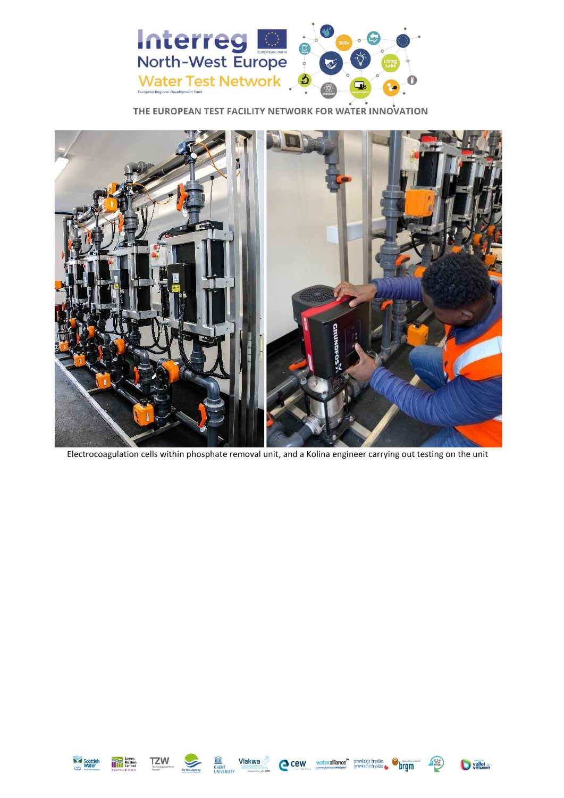



Electrocoagulation cells within phosphate removal unit, and a Kolina engineer carrying out testing on the unit